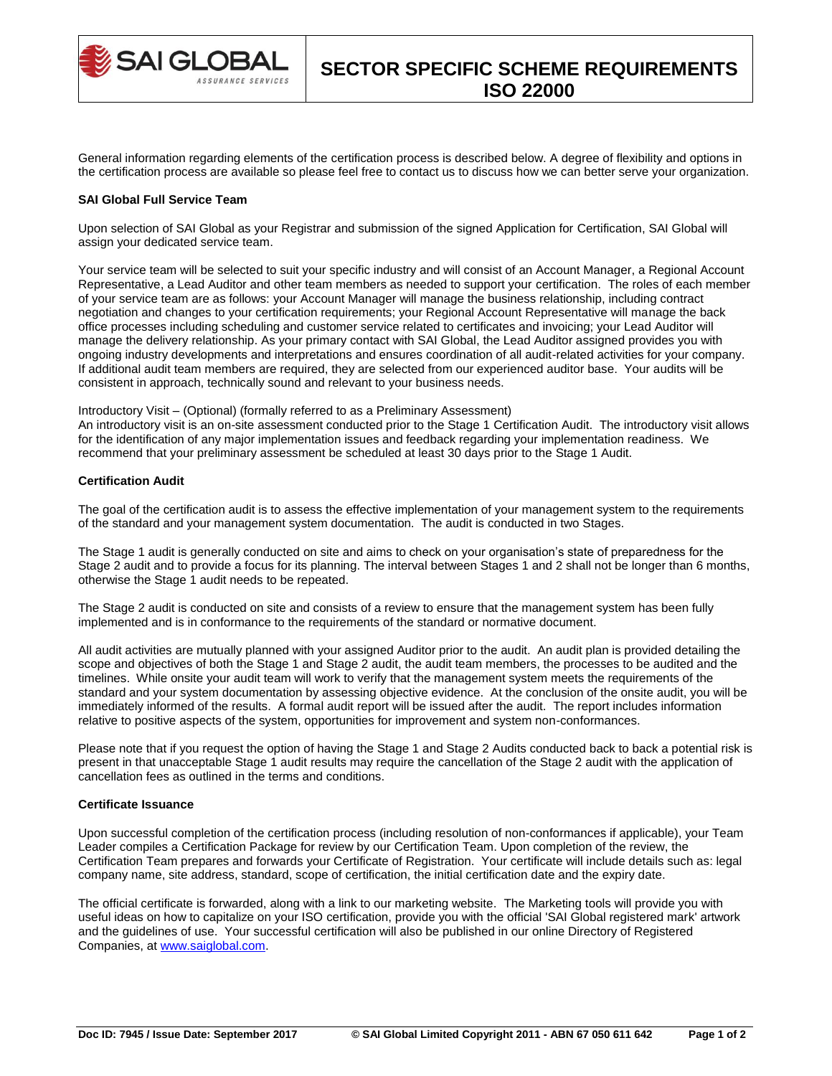

General information regarding elements of the certification process is described below. A degree of flexibility and options in the certification process are available so please feel free to contact us to discuss how we can better serve your organization.

### **SAI Global Full Service Team**

Upon selection of SAI Global as your Registrar and submission of the signed Application for Certification, SAI Global will assign your dedicated service team.

Your service team will be selected to suit your specific industry and will consist of an Account Manager, a Regional Account Representative, a Lead Auditor and other team members as needed to support your certification. The roles of each member of your service team are as follows: your Account Manager will manage the business relationship, including contract negotiation and changes to your certification requirements; your Regional Account Representative will manage the back office processes including scheduling and customer service related to certificates and invoicing; your Lead Auditor will manage the delivery relationship. As your primary contact with SAI Global, the Lead Auditor assigned provides you with ongoing industry developments and interpretations and ensures coordination of all audit-related activities for your company. If additional audit team members are required, they are selected from our experienced auditor base. Your audits will be consistent in approach, technically sound and relevant to your business needs.

### Introductory Visit – (Optional) (formally referred to as a Preliminary Assessment)

An introductory visit is an on-site assessment conducted prior to the Stage 1 Certification Audit. The introductory visit allows for the identification of any major implementation issues and feedback regarding your implementation readiness. We recommend that your preliminary assessment be scheduled at least 30 days prior to the Stage 1 Audit.

## **Certification Audit**

The goal of the certification audit is to assess the effective implementation of your management system to the requirements of the standard and your management system documentation. The audit is conducted in two Stages.

The Stage 1 audit is generally conducted on site and aims to check on your organisation's state of preparedness for the Stage 2 audit and to provide a focus for its planning. The interval between Stages 1 and 2 shall not be longer than 6 months, otherwise the Stage 1 audit needs to be repeated.

The Stage 2 audit is conducted on site and consists of a review to ensure that the management system has been fully implemented and is in conformance to the requirements of the standard or normative document.

All audit activities are mutually planned with your assigned Auditor prior to the audit. An audit plan is provided detailing the scope and objectives of both the Stage 1 and Stage 2 audit, the audit team members, the processes to be audited and the timelines. While onsite your audit team will work to verify that the management system meets the requirements of the standard and your system documentation by assessing objective evidence. At the conclusion of the onsite audit, you will be immediately informed of the results. A formal audit report will be issued after the audit. The report includes information relative to positive aspects of the system, opportunities for improvement and system non-conformances.

Please note that if you request the option of having the Stage 1 and Stage 2 Audits conducted back to back a potential risk is present in that unacceptable Stage 1 audit results may require the cancellation of the Stage 2 audit with the application of cancellation fees as outlined in the terms and conditions.

## **Certificate Issuance**

Upon successful completion of the certification process (including resolution of non-conformances if applicable), your Team Leader compiles a Certification Package for review by our Certification Team. Upon completion of the review, the Certification Team prepares and forwards your Certificate of Registration. Your certificate will include details such as: legal company name, site address, standard, scope of certification, the initial certification date and the expiry date.

The official certificate is forwarded, along with a link to our marketing website. The Marketing tools will provide you with useful ideas on how to capitalize on your ISO certification, provide you with the official 'SAI Global registered mark' artwork and the guidelines of use. Your successful certification will also be published in our online Directory of Registered Companies, at [www.saiglobal.com.](http://www.saiglobal.com/)